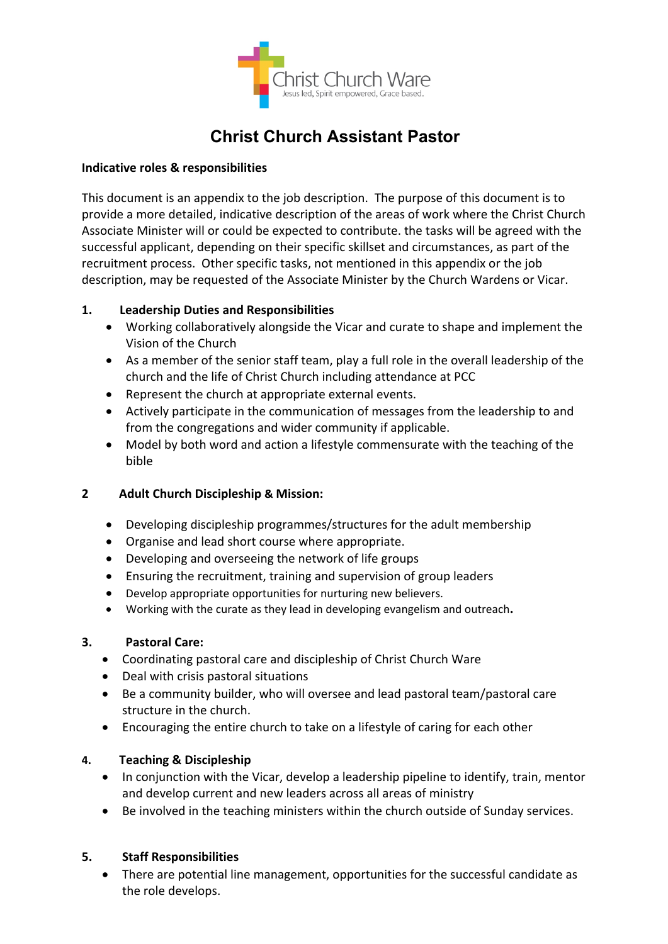

# **Christ Church Assistant Pastor**

#### **Indicative roles & responsibilities**

This document is an appendix to the job description. The purpose of this document is to provide a more detailed, indicative description of the areas of work where the Christ Church Associate Minister will or could be expected to contribute. the tasks will be agreed with the successful applicant, depending on their specific skillset and circumstances, as part of the recruitment process. Other specific tasks, not mentioned in this appendix or the job description, may be requested of the Associate Minister by the Church Wardens or Vicar.

### **1. Leadership Duties and Responsibilities**

- Working collaboratively alongside the Vicar and curate to shape and implement the Vision of the Church
- As a member of the senior staff team, play a full role in the overall leadership of the church and the life of Christ Church including attendance at PCC
- Represent the church at appropriate external events.
- Actively participate in the communication of messages from the leadership to and from the congregations and wider community if applicable.
- Model by both word and action a lifestyle commensurate with the teaching of the bible

# **2 Adult Church Discipleship & Mission:**

- Developing discipleship programmes/structures for the adult membership
- Organise and lead short course where appropriate.
- Developing and overseeing the network of life groups
- Ensuring the recruitment, training and supervision of group leaders
- Develop appropriate opportunities for nurturing new believers.
- Working with the curate as they lead in developing evangelism and outreach**.**

### **3. Pastoral Care:**

- Coordinating pastoral care and discipleship of Christ Church Ware
- Deal with crisis pastoral situations
- Be a community builder, who will oversee and lead pastoral team/pastoral care structure in the church.
- Encouraging the entire church to take on a lifestyle of caring for each other

### **4. Teaching & Discipleship**

- In conjunction with the Vicar, develop a leadership pipeline to identify, train, mentor and develop current and new leaders across all areas of ministry
- Be involved in the teaching ministers within the church outside of Sunday services.

### **5. Staff Responsibilities**

• There are potential line management, opportunities for the successful candidate as the role develops.